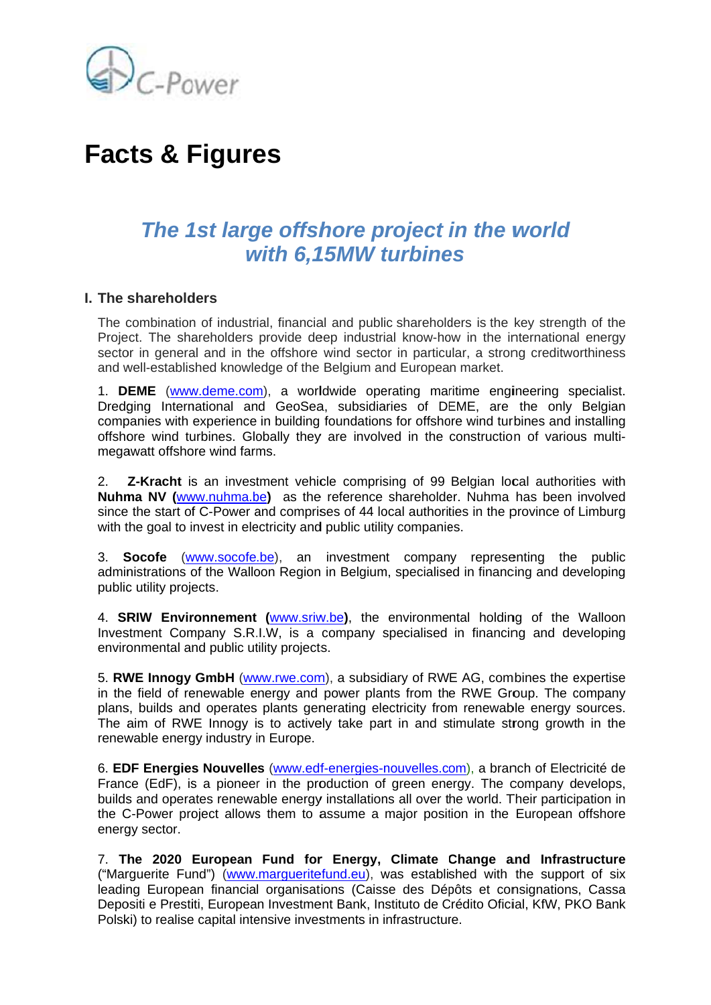

# **Facts & Figures**

## The 1st large offshore project in the world with 6,15MW turbines

### I. The shareholders

The combination of industrial, financial and public shareholders is the key strength of the Project. The shareholders provide deep industrial know-how in the international energy sector in general and in the offshore wind sector in particular, a strong creditworthiness and well-established knowledge of the Belgium and European market.

1. DEME (www.deme.com), a worldwide operating maritime engineering specialist. Dredging International and GeoSea, subsidiaries of DEME, are the only Belgian companies with experience in building foundations for offshore wind turbines and installing offshore wind turbines. Globally they are involved in the construction of various multimegawatt offshore wind farms.

**Z-Kracht** is an investment vehicle comprising of 99 Belgian local authorities with  $2.$ Nuhma NV (www.nuhma.be) as the reference shareholder. Nuhma has been involved since the start of C-Power and comprises of 44 local authorities in the province of Limburg with the goal to invest in electricity and public utility companies.

**Socofe** (www.socofe.be), an investment company representing the public  $3<sub>l</sub>$ administrations of the Walloon Region in Belgium, specialised in financing and developing public utility projects.

4. SRIW Environnement (www.sriw.be), the environmental holding of the Walloon Investment Company S.R.I.W, is a company specialised in financing and developing environmental and public utility projects.

5. RWE Innogy GmbH (www.rwe.com), a subsidiary of RWE AG, combines the expertise in the field of renewable energy and power plants from the RWE Group. The company plans, builds and operates plants generating electricity from renewable energy sources. The aim of RWE Innogy is to actively take part in and stimulate strong growth in the renewable energy industry in Europe.

6. EDF Energies Nouvelles (www.edf-energies-nouvelles.com), a branch of Electricité de France (EdF), is a pioneer in the production of green energy. The company develops, builds and operates renewable energy installations all over the world. Their participation in the C-Power project allows them to assume a major position in the European offshore energy sector.

7. The 2020 European Fund for Energy, Climate Change and Infrastructure ("Marguerite Fund") (www.margueritefund.eu), was established with the support of six leading European financial organisations (Caisse des Dépôts et consignations, Cassa Depositi e Prestiti, European Investment Bank, Instituto de Crédito Oficial, KfW, PKO Bank Polski) to realise capital intensive investments in infrastructure.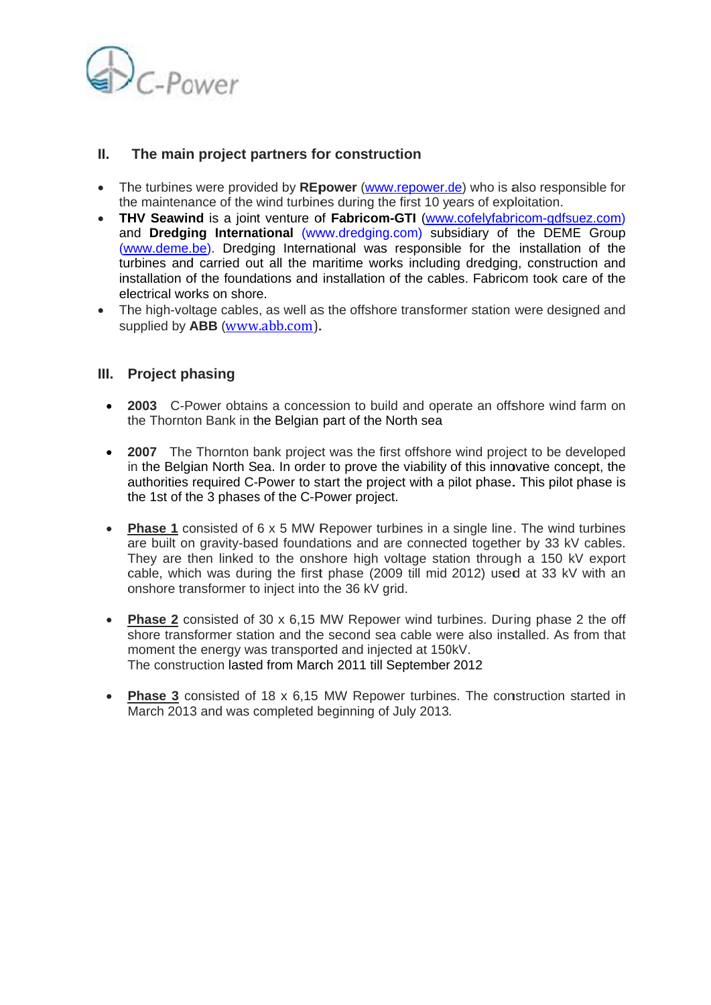

#### Ш. The main project partners for construction

- The turbines were provided by REpower (www.repower.de) who is also responsible for the maintenance of the wind turbines during the first 10 years of exploitation.
- THV Seawind is a joint venture of Fabricom-GTI (www.cofelyfabricom-gdfsuez.com) and Dredging International (www.dredging.com) subsidiary of the DEME Group (www.deme.be). Dredging International was responsible for the installation of the turbines and carried out all the maritime works including dredging, construction and installation of the foundations and installation of the cables. Fabricom took care of the electrical works on shore.
- The high-voltage cables, as well as the offshore transformer station were designed and supplied by ABB (www.abb.com).

### III. Project phasing

- 2003 C-Power obtains a concession to build and operate an offshore wind farm on the Thornton Bank in the Belgian part of the North sea
- 2007 The Thornton bank project was the first offshore wind project to be developed in the Belgian North Sea. In order to prove the viability of this innovative concept, the authorities required C-Power to start the project with a pilot phase. This pilot phase is the 1st of the 3 phases of the C-Power project.
- Phase 1 consisted of 6 x 5 MW Repower turbines in a single line. The wind turbines are built on gravity-based foundations and are connected together by 33 kV cables. They are then linked to the onshore high voltage station through a 150 kV export cable, which was during the first phase (2009 till mid 2012) used at 33 kV with an onshore transformer to inject into the 36 kV grid.
- Phase 2 consisted of 30 x 6,15 MW Repower wind turbines. During phase 2 the off shore transformer station and the second sea cable were also installed. As from that moment the energy was transported and injected at 150kV. The construction lasted from March 2011 till September 2012
- Phase 3 consisted of 18 x 6,15 MW Repower turbines. The construction started in March 2013 and was completed beginning of July 2013.